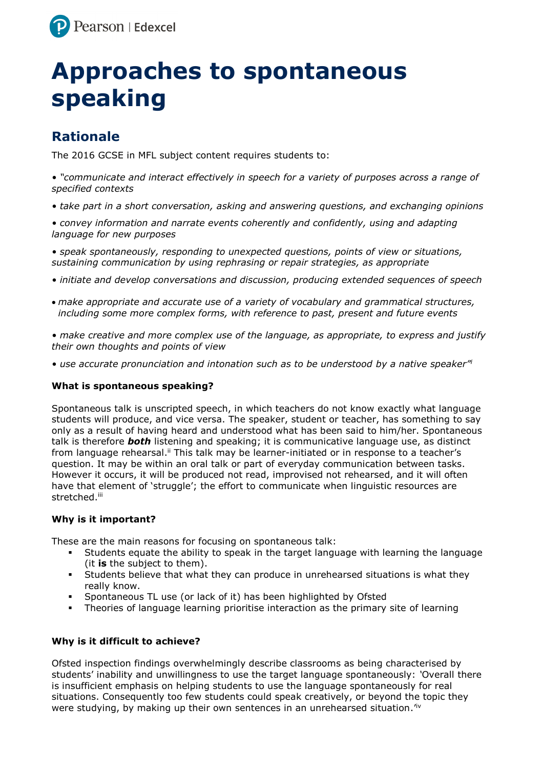

# **Approaches to spontaneous speaking**

# **Rationale**

The 2016 GCSE in MFL subject content requires students to:

*• "communicate and interact effectively in speech for a variety of purposes across a range of specified contexts*

*• take part in a short conversation, asking and answering questions, and exchanging opinions*

*• convey information and narrate events coherently and confidently, using and adapting language for new purposes*

• speak spontaneously, responding to unexpected questions, points of view or situations, *sustaining communication by using rephrasing or repair strategies, as appropriate*

- *initiate and develop conversations and discussion, producing extended sequences of speech*
- *make appropriate and accurate use of a variety of vocabulary and grammatical structures, including some more complex forms, with reference to past, present and future events*

*• make creative and more complex use of the language, as appropriate, to express and justify their own thoughts and points of view*

*• use accurate pronunciation and intonation such as to be understood by a native speaker"<sup>i</sup>*

## **What is spontaneous speaking?**

Spontaneous talk is unscripted speech, in which teachers do not know exactly what language students will produce, and vice versa. The speaker, student or teacher, has something to say only as a result of having heard and understood what has been said to him/her. Spontaneous talk is therefore *both* listening and speaking; it is communicative language use, as distinct from language rehearsal.<sup>ii</sup> This talk may be learner-initiated or in response to a teacher's question. It may be within an oral talk or part of everyday communication between tasks. However it occurs, it will be produced not read, improvised not rehearsed, and it will often have that element of 'struggle'; the effort to communicate when linguistic resources are stretched.iii

## **Why is it important?**

These are the main reasons for focusing on spontaneous talk:

- Students equate the ability to speak in the target language with learning the language (it **is** the subject to them).
- Students believe that what they can produce in unrehearsed situations is what they really know.
- Spontaneous TL use (or lack of it) has been highlighted by Ofsted
- Theories of language learning prioritise interaction as the primary site of learning

## **Why is it difficult to achieve?**

Ofsted inspection findings overwhelmingly describe classrooms as being characterised by students' inability and unwillingness to use the target language spontaneously: *'*Overall there is insufficient emphasis on helping students to use the language spontaneously for real situations. Consequently too few students could speak creatively, or beyond the topic they were studying, by making up their own sentences in an unrehearsed situation.<sup>1v</sup>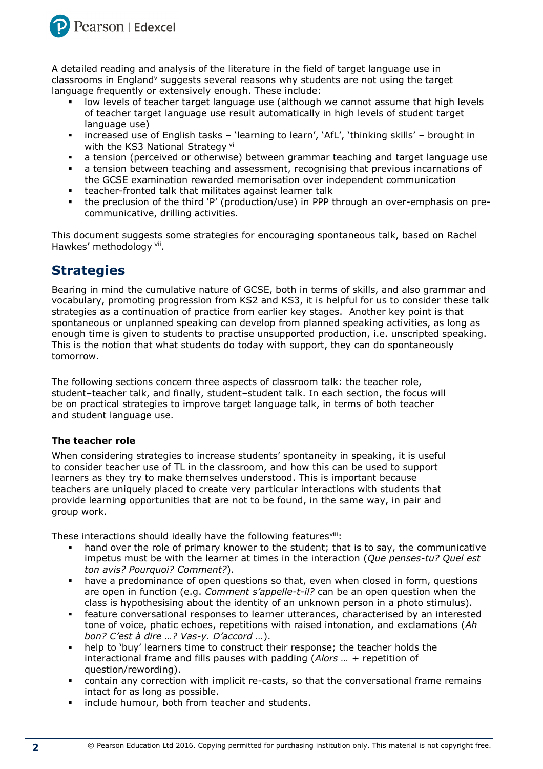

A detailed reading and analysis of the literature in the field of target language use in classrooms in England<sup>v</sup> suggests several reasons why students are not using the target language frequently or extensively enough. These include:

- low levels of teacher target language use (although we cannot assume that high levels of teacher target language use result automatically in high levels of student target language use)
- increased use of English tasks 'learning to learn', 'AfL', 'thinking skills' brought in with the KS3 National Strategy vi
- a tension (perceived or otherwise) between grammar teaching and target language use
- a tension between teaching and assessment, recognising that previous incarnations of the GCSE examination rewarded memorisation over independent communication
- teacher-fronted talk that militates against learner talk
- the preclusion of the third 'P' (production/use) in PPP through an over-emphasis on precommunicative, drilling activities.

This document suggests some strategies for encouraging spontaneous talk, based on Rachel Hawkes' methodology <sup>vii</sup>.

# **Strategies**

Bearing in mind the cumulative nature of GCSE, both in terms of skills, and also grammar and vocabulary, promoting progression from KS2 and KS3, it is helpful for us to consider these talk strategies as a continuation of practice from earlier key stages. Another key point is that spontaneous or unplanned speaking can develop from planned speaking activities, as long as enough time is given to students to practise unsupported production, i.e. unscripted speaking. This is the notion that what students do today with support, they can do spontaneously tomorrow.

The following sections concern three aspects of classroom talk: the teacher role, student–teacher talk, and finally, student–student talk. In each section, the focus will be on practical strategies to improve target language talk, in terms of both teacher and student language use.

# **The teacher role**

When considering strategies to increase students' spontaneity in speaking, it is useful to consider teacher use of TL in the classroom, and how this can be used to support learners as they try to make themselves understood. This is important because teachers are uniquely placed to create very particular interactions with students that provide learning opportunities that are not to be found, in the same way, in pair and group work.

These interactions should ideally have the following featuresviii:

- hand over the role of primary knower to the student; that is to say, the communicative impetus must be with the learner at times in the interaction (*Que penses-tu? Quel est ton avis? Pourquoi? Comment?*).
- have a predominance of open questions so that, even when closed in form, questions are open in function (e.g. *Comment s'appelle-t-il?* can be an open question when the class is hypothesising about the identity of an unknown person in a photo stimulus).
- feature conversational responses to learner utterances, characterised by an interested tone of voice, phatic echoes, repetitions with raised intonation, and exclamations (*Ah bon? C'est à dire …? Vas-y. D'accord …*).
- help to 'buy' learners time to construct their response; the teacher holds the interactional frame and fills pauses with padding (*Alors … +* repetition of question/rewording).
- contain any correction with implicit re-casts, so that the conversational frame remains intact for as long as possible.
- include humour, both from teacher and students.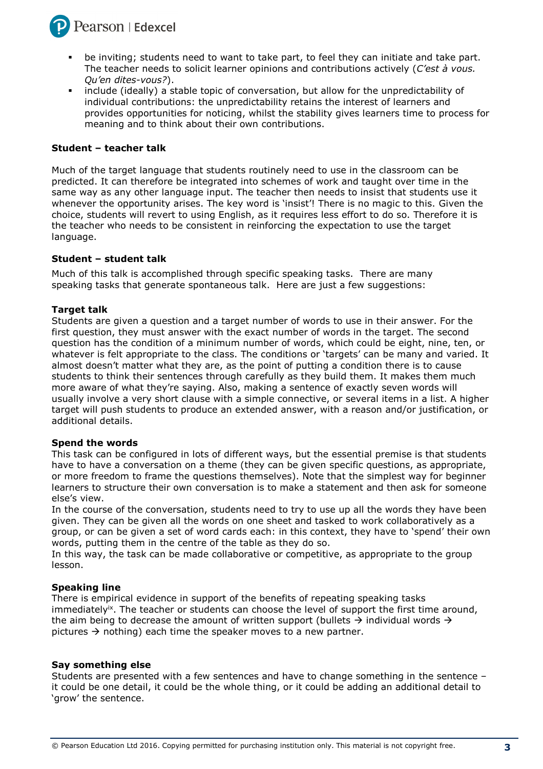

- be inviting; students need to want to take part, to feel they can initiate and take part. The teacher needs to solicit learner opinions and contributions actively (*C'est à vous. Qu'en dites-vous?*).
- include (ideally) a stable topic of conversation, but allow for the unpredictability of individual contributions: the unpredictability retains the interest of learners and provides opportunities for noticing, whilst the stability gives learners time to process for meaning and to think about their own contributions.

#### **Student – teacher talk**

Much of the target language that students routinely need to use in the classroom can be predicted. It can therefore be integrated into schemes of work and taught over time in the same way as any other language input. The teacher then needs to insist that students use it whenever the opportunity arises. The key word is 'insist'! There is no magic to this. Given the choice, students will revert to using English, as it requires less effort to do so. Therefore it is the teacher who needs to be consistent in reinforcing the expectation to use the target language.

#### **Student – student talk**

Much of this talk is accomplished through specific speaking tasks. There are many speaking tasks that generate spontaneous talk. Here are just a few suggestions:

#### **Target talk**

Students are given a question and a target number of words to use in their answer. For the first question, they must answer with the exact number of words in the target. The second question has the condition of a minimum number of words, which could be eight, nine, ten, or whatever is felt appropriate to the class. The conditions or 'targets' can be many and varied. It almost doesn't matter what they are, as the point of putting a condition there is to cause students to think their sentences through carefully as they build them. It makes them much more aware of what they're saying. Also, making a sentence of exactly seven words will usually involve a very short clause with a simple connective, or several items in a list. A higher target will push students to produce an extended answer, with a reason and/or justification, or additional details.

#### **Spend the words**

This task can be configured in lots of different ways, but the essential premise is that students have to have a conversation on a theme (they can be given specific questions, as appropriate, or more freedom to frame the questions themselves). Note that the simplest way for beginner learners to structure their own conversation is to make a statement and then ask for someone else's view.

In the course of the conversation, students need to try to use up all the words they have been given. They can be given all the words on one sheet and tasked to work collaboratively as a group, or can be given a set of word cards each: in this context, they have to 'spend' their own words, putting them in the centre of the table as they do so.

In this way, the task can be made collaborative or competitive, as appropriate to the group lesson.

#### **Speaking line**

There is empirical evidence in support of the benefits of repeating speaking tasks immediately<sup>ix</sup>. The teacher or students can choose the level of support the first time around, the aim being to decrease the amount of written support (bullets  $\rightarrow$  individual words  $\rightarrow$ pictures  $\rightarrow$  nothing) each time the speaker moves to a new partner.

#### **Say something else**

Students are presented with a few sentences and have to change something in the sentence – it could be one detail, it could be the whole thing, or it could be adding an additional detail to 'grow' the sentence.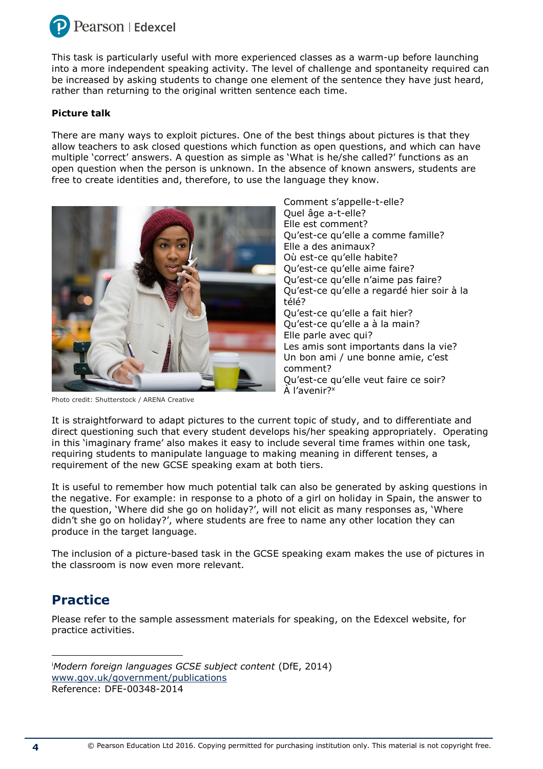

This task is particularly useful with more experienced classes as a warm-up before launching into a more independent speaking activity. The level of challenge and spontaneity required can be increased by asking students to change one element of the sentence they have just heard, rather than returning to the original written sentence each time.

## **Picture talk**

There are many ways to exploit pictures. One of the best things about pictures is that they allow teachers to ask closed questions which function as open questions, and which can have multiple 'correct' answers. A question as simple as 'What is he/she called?' functions as an open question when the person is unknown. In the absence of known answers, students are free to create identities and, therefore, to use the language they know.



Photo credit: Shutterstock / ARENA Creative

Comment s'appelle-t-elle? Quel âge a-t-elle? Elle est comment? Qu'est-ce qu'elle a comme famille? Elle a des animaux? Où est-ce qu'elle habite? Qu'est-ce qu'elle aime faire? Qu'est-ce qu'elle n'aime pas faire? Qu'est-ce qu'elle a regardé hier soir à la télé? Qu'est-ce qu'elle a fait hier? Qu'est-ce qu'elle a à la main? Elle parle avec qui? Les amis sont importants dans la vie? Un bon ami / une bonne amie, c'est comment? Qu'est-ce qu'elle veut faire ce soir? À l'avenir?<sup>x</sup>

It is straightforward to adapt pictures to the current topic of study, and to differentiate and direct questioning such that every student develops his/her speaking appropriately. Operating in this 'imaginary frame' also makes it easy to include several time frames within one task, requiring students to manipulate language to making meaning in different tenses, a requirement of the new GCSE speaking exam at both tiers.

It is useful to remember how much potential talk can also be generated by asking questions in the negative. For example: in response to a photo of a girl on holiday in Spain, the answer to the question, 'Where did she go on holiday?', will not elicit as many responses as, 'Where didn't she go on holiday?', where students are free to name any other location they can produce in the target language.

The inclusion of a picture-based task in the GCSE speaking exam makes the use of pictures in the classroom is now even more relevant.

# **Practice**

Please refer to the sample assessment materials for speaking, on the Edexcel website, for practice activities.

<sup>i</sup>*Modern foreign languages GCSE subject content* (DfE, 2014) [www.gov.uk/government/publications](http://www.gov.uk/government/publications) Reference: DFE-00348-2014